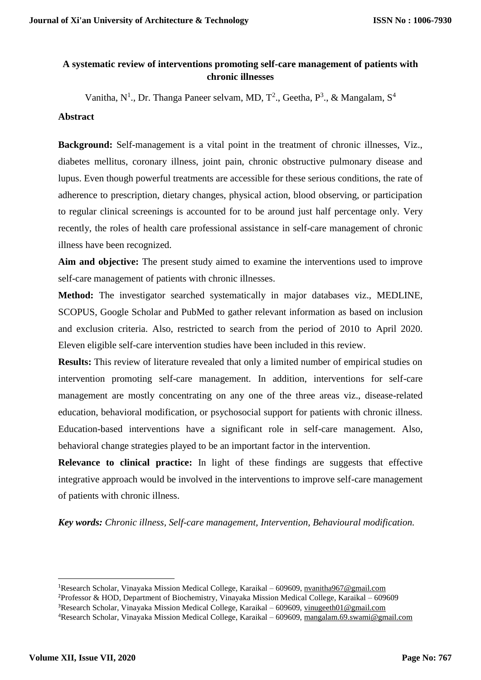## **A systematic review of interventions promoting self-care management of patients with chronic illnesses**

Vanitha, N<sup>1</sup>., Dr. Thanga Paneer selvam, MD, T<sup>2</sup>., Geetha, P<sup>3</sup>., & Mangalam, S<sup>4</sup>

## **Abstract**

**Background:** Self-management is a vital point in the treatment of chronic illnesses, Viz., diabetes mellitus, coronary illness, joint pain, chronic obstructive pulmonary disease and lupus. Even though powerful treatments are accessible for these serious conditions, the rate of adherence to prescription, dietary changes, physical action, blood observing, or participation to regular clinical screenings is accounted for to be around just half percentage only. Very recently, the roles of health care professional assistance in self-care management of chronic illness have been recognized.

**Aim and objective:** The present study aimed to examine the interventions used to improve self-care management of patients with chronic illnesses.

**Method:** The investigator searched systematically in major databases viz., MEDLINE, SCOPUS, Google Scholar and PubMed to gather relevant information as based on inclusion and exclusion criteria. Also, restricted to search from the period of 2010 to April 2020. Eleven eligible self-care intervention studies have been included in this review.

**Results:** This review of literature revealed that only a limited number of empirical studies on intervention promoting self-care management. In addition, interventions for self-care management are mostly concentrating on any one of the three areas viz., disease-related education, behavioral modification, or psychosocial support for patients with chronic illness. Education-based interventions have a significant role in self-care management. Also, behavioral change strategies played to be an important factor in the intervention.

**Relevance to clinical practice:** In light of these findings are suggests that effective integrative approach would be involved in the interventions to improve self-care management of patients with chronic illness.

*Key words: Chronic illness, Self-care management, Intervention, Behavioural modification.*

**.** 

<sup>1</sup>Research Scholar, Vinayaka Mission Medical College, Karaikal – 609609, [nvanitha967@gmail.com](mailto:nvanitha967@gmail.com) <sup>2</sup>Professor & HOD, Department of Biochemistry, Vinayaka Mission Medical College, Karaikal – 609609 <sup>3</sup>Research Scholar, Vinayaka Mission Medical College, Karaikal – 609609, [vinugeeth01@gmail.com](mailto:vinugeeth01@gmail.com) <sup>4</sup>Research Scholar, Vinayaka Mission Medical College, Karaikal – 609609, [mangalam.69.swami@gmail.com](mailto:mangalam.69.swami@gmail.com)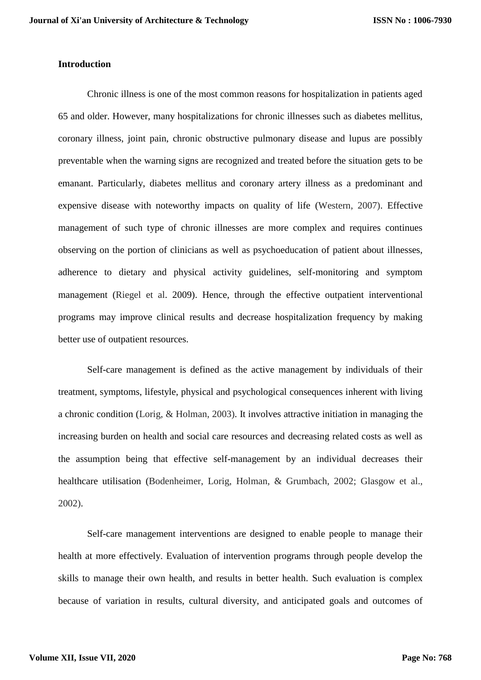## **Introduction**

Chronic illness is one of the most common reasons for hospitalization in patients aged 65 and older. However, many hospitalizations for chronic illnesses such as diabetes mellitus, coronary illness, joint pain, chronic obstructive pulmonary disease and lupus are possibly preventable when the warning signs are recognized and treated before the situation gets to be emanant. Particularly, diabetes mellitus and coronary artery illness as a predominant and expensive disease with noteworthy impacts on quality of life (Western, 2007). Effective management of such type of chronic illnesses are more complex and requires continues observing on the portion of clinicians as well as psychoeducation of patient about illnesses, adherence to dietary and physical activity guidelines, self-monitoring and symptom management (Riegel et al. 2009). Hence, through the effective outpatient interventional programs may improve clinical results and decrease hospitalization frequency by making better use of outpatient resources.

Self-care management is defined as the active management by individuals of their treatment, symptoms, lifestyle, physical and psychological consequences inherent with living a chronic condition (Lorig, & Holman, 2003). It involves attractive initiation in managing the increasing burden on health and social care resources and decreasing related costs as well as the assumption being that effective self-management by an individual decreases their healthcare utilisation (Bodenheimer, Lorig, Holman, & Grumbach, 2002; Glasgow et al., 2002).

Self-care management interventions are designed to enable people to manage their health at more effectively. Evaluation of intervention programs through people develop the skills to manage their own health, and results in better health. Such evaluation is complex because of variation in results, cultural diversity, and anticipated goals and outcomes of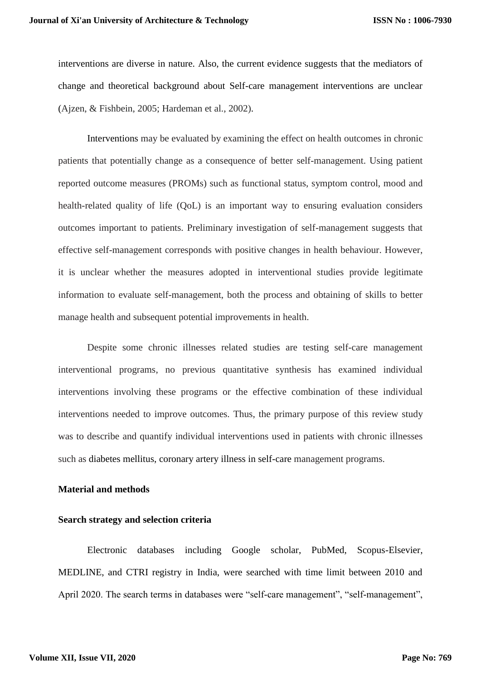interventions are diverse in nature. Also, the current evidence suggests that the mediators of change and theoretical background about Self-care management interventions are unclear (Ajzen, & Fishbein, 2005; Hardeman et al., 2002).

Interventions may be evaluated by examining the effect on health outcomes in chronic patients that potentially change as a consequence of better self-management. Using patient reported outcome measures (PROMs) such as functional status, symptom control, mood and health-related quality of life (QoL) is an important way to ensuring evaluation considers outcomes important to patients. Preliminary investigation of self-management suggests that effective self-management corresponds with positive changes in health behaviour. However, it is unclear whether the measures adopted in interventional studies provide legitimate information to evaluate self-management, both the process and obtaining of skills to better manage health and subsequent potential improvements in health.

Despite some chronic illnesses related studies are testing self-care management interventional programs, no previous quantitative synthesis has examined individual interventions involving these programs or the effective combination of these individual interventions needed to improve outcomes. Thus, the primary purpose of this review study was to describe and quantify individual interventions used in patients with chronic illnesses such as diabetes mellitus, coronary artery illness in self-care management programs.

## **Material and methods**

## **Search strategy and selection criteria**

Electronic databases including Google scholar, PubMed, Scopus-Elsevier, MEDLINE, and CTRI registry in India, were searched with time limit between 2010 and April 2020. The search terms in databases were "self-care management", "self-management",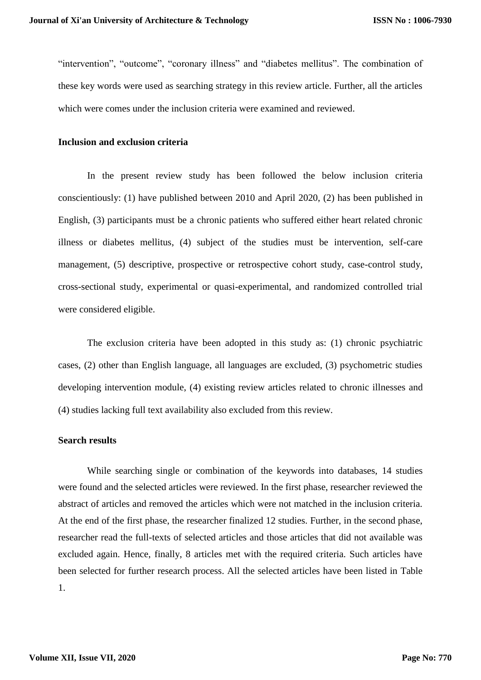"intervention", "outcome", "coronary illness" and "diabetes mellitus". The combination of these key words were used as searching strategy in this review article. Further, all the articles which were comes under the inclusion criteria were examined and reviewed.

### **Inclusion and exclusion criteria**

In the present review study has been followed the below inclusion criteria conscientiously: (1) have published between 2010 and April 2020, (2) has been published in English, (3) participants must be a chronic patients who suffered either heart related chronic illness or diabetes mellitus, (4) subject of the studies must be intervention, self-care management, (5) descriptive, prospective or retrospective cohort study, case-control study, cross-sectional study, experimental or quasi-experimental, and randomized controlled trial were considered eligible.

The exclusion criteria have been adopted in this study as: (1) chronic psychiatric cases, (2) other than English language, all languages are excluded, (3) psychometric studies developing intervention module, (4) existing review articles related to chronic illnesses and (4) studies lacking full text availability also excluded from this review.

## **Search results**

While searching single or combination of the keywords into databases, 14 studies were found and the selected articles were reviewed. In the first phase, researcher reviewed the abstract of articles and removed the articles which were not matched in the inclusion criteria. At the end of the first phase, the researcher finalized 12 studies. Further, in the second phase, researcher read the full-texts of selected articles and those articles that did not available was excluded again. Hence, finally, 8 articles met with the required criteria. Such articles have been selected for further research process. All the selected articles have been listed in Table 1.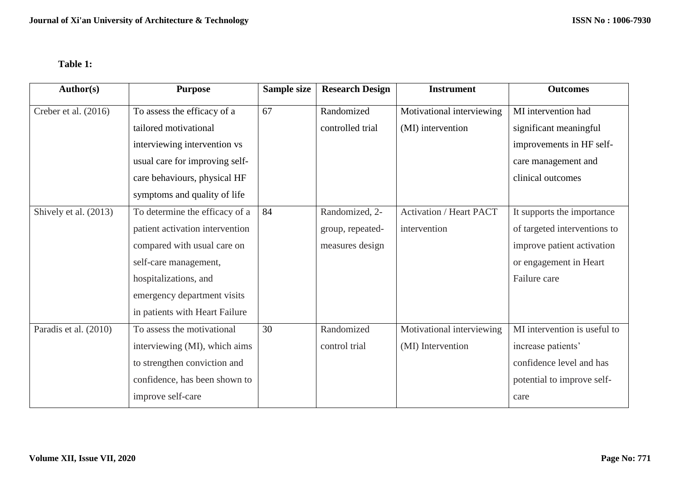# **Table 1:**

| <b>Author(s)</b>       | <b>Purpose</b>                  | Sample size | <b>Research Design</b> | <b>Instrument</b>              | <b>Outcomes</b>              |
|------------------------|---------------------------------|-------------|------------------------|--------------------------------|------------------------------|
| Creber et al. $(2016)$ | To assess the efficacy of a     | 67          | Randomized             | Motivational interviewing      | MI intervention had          |
|                        | tailored motivational           |             | controlled trial       | (MI) intervention              | significant meaningful       |
|                        | interviewing intervention vs    |             |                        |                                | improvements in HF self-     |
|                        | usual care for improving self-  |             |                        |                                | care management and          |
|                        | care behaviours, physical HF    |             |                        |                                | clinical outcomes            |
|                        | symptoms and quality of life    |             |                        |                                |                              |
| Shively et al. (2013)  | To determine the efficacy of a  | 84          | Randomized, 2-         | <b>Activation / Heart PACT</b> | It supports the importance   |
|                        | patient activation intervention |             | group, repeated-       | intervention                   | of targeted interventions to |
|                        | compared with usual care on     |             | measures design        |                                | improve patient activation   |
|                        | self-care management,           |             |                        |                                | or engagement in Heart       |
|                        | hospitalizations, and           |             |                        |                                | Failure care                 |
|                        | emergency department visits     |             |                        |                                |                              |
|                        | in patients with Heart Failure  |             |                        |                                |                              |
| Paradis et al. (2010)  | To assess the motivational      | 30          | Randomized             | Motivational interviewing      | MI intervention is useful to |
|                        | interviewing (MI), which aims   |             | control trial          | (MI) Intervention              | increase patients'           |
|                        | to strengthen conviction and    |             |                        |                                | confidence level and has     |
|                        | confidence, has been shown to   |             |                        |                                | potential to improve self-   |
|                        | improve self-care               |             |                        |                                | care                         |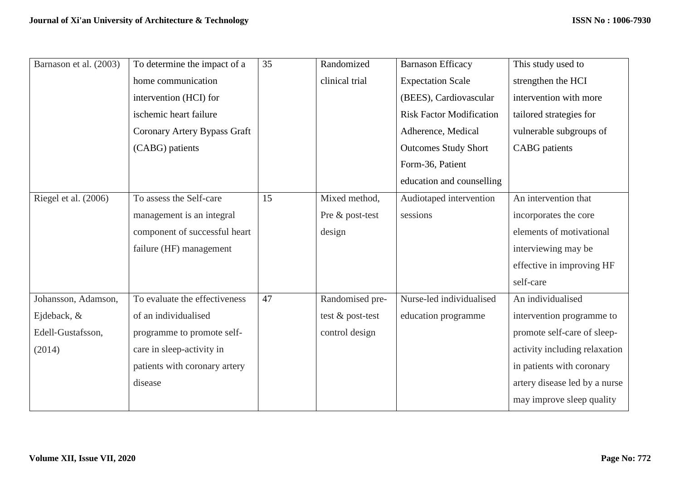| Barnason et al. (2003) | To determine the impact of a  | 35 | Randomized       | <b>Barnason Efficacy</b>        | This study used to            |
|------------------------|-------------------------------|----|------------------|---------------------------------|-------------------------------|
|                        | home communication            |    | clinical trial   | <b>Expectation Scale</b>        | strengthen the HCI            |
|                        | intervention (HCI) for        |    |                  | (BEES), Cardiovascular          | intervention with more        |
|                        | ischemic heart failure        |    |                  | <b>Risk Factor Modification</b> | tailored strategies for       |
|                        | Coronary Artery Bypass Graft  |    |                  | Adherence, Medical              | vulnerable subgroups of       |
|                        | (CABG) patients               |    |                  | <b>Outcomes Study Short</b>     | <b>CABG</b> patients          |
|                        |                               |    |                  | Form-36, Patient                |                               |
|                        |                               |    |                  | education and counselling       |                               |
| Riegel et al. (2006)   | To assess the Self-care       | 15 | Mixed method,    | Audiotaped intervention         | An intervention that          |
|                        | management is an integral     |    | Pre & post-test  | sessions                        | incorporates the core         |
|                        | component of successful heart |    | design           |                                 | elements of motivational      |
|                        | failure (HF) management       |    |                  |                                 | interviewing may be           |
|                        |                               |    |                  |                                 | effective in improving HF     |
|                        |                               |    |                  |                                 | self-care                     |
| Johansson, Adamson,    | To evaluate the effectiveness | 47 | Randomised pre-  | Nurse-led individualised        | An individualised             |
| Ejdeback, &            | of an individualised          |    | test & post-test | education programme             | intervention programme to     |
| Edell-Gustafsson,      | programme to promote self-    |    | control design   |                                 | promote self-care of sleep-   |
| (2014)                 | care in sleep-activity in     |    |                  |                                 | activity including relaxation |
|                        | patients with coronary artery |    |                  |                                 | in patients with coronary     |
|                        | disease                       |    |                  |                                 | artery disease led by a nurse |
|                        |                               |    |                  |                                 | may improve sleep quality     |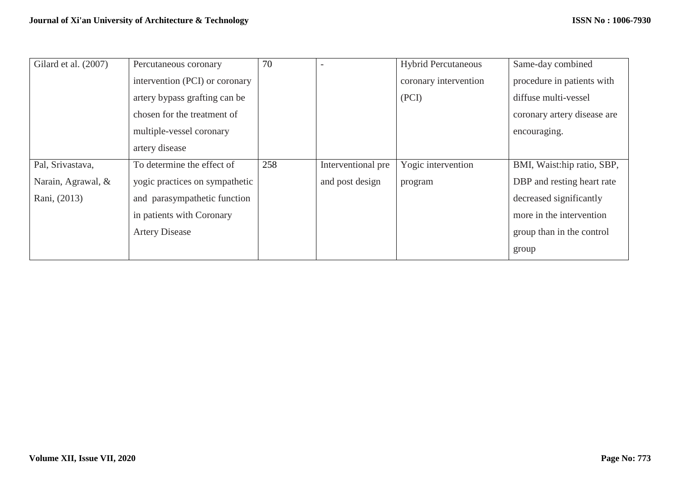| Gilard et al. (2007) | Percutaneous coronary          | 70  |                    | <b>Hybrid Percutaneous</b> | Same-day combined           |
|----------------------|--------------------------------|-----|--------------------|----------------------------|-----------------------------|
|                      | intervention (PCI) or coronary |     |                    | coronary intervention      | procedure in patients with  |
|                      | artery bypass grafting can be  |     |                    | (PCI)                      | diffuse multi-vessel        |
|                      | chosen for the treatment of    |     |                    |                            | coronary artery disease are |
|                      | multiple-vessel coronary       |     |                    |                            | encouraging.                |
|                      | artery disease                 |     |                    |                            |                             |
| Pal, Srivastava,     | To determine the effect of     | 258 | Interventional pre | Yogic intervention         | BMI, Waist:hip ratio, SBP,  |
| Narain, Agrawal, &   | yogic practices on sympathetic |     | and post design    | program                    | DBP and resting heart rate  |
| Rani, (2013)         | and parasympathetic function   |     |                    |                            | decreased significantly     |
|                      | in patients with Coronary      |     |                    |                            | more in the intervention    |
|                      | <b>Artery Disease</b>          |     |                    |                            | group than in the control   |
|                      |                                |     |                    |                            | group                       |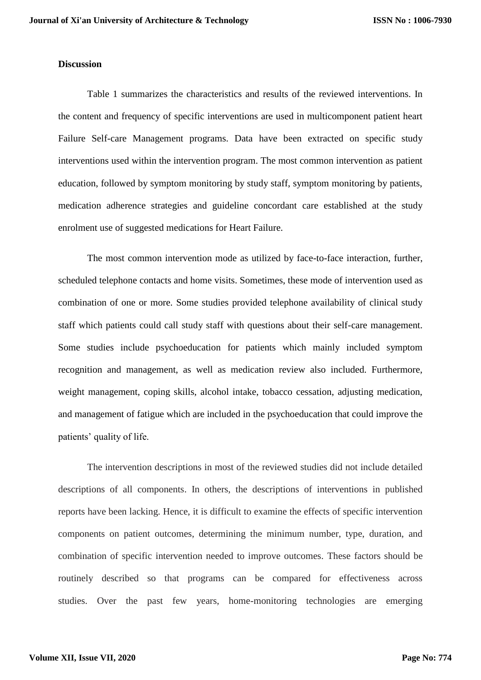### **Discussion**

Table 1 summarizes the characteristics and results of the reviewed interventions. In the content and frequency of specific interventions are used in multicomponent patient heart Failure Self-care Management programs. Data have been extracted on specific study interventions used within the intervention program. The most common intervention as patient education, followed by symptom monitoring by study staff, symptom monitoring by patients, medication adherence strategies and guideline concordant care established at the study enrolment use of suggested medications for Heart Failure.

The most common intervention mode as utilized by face-to-face interaction, further, scheduled telephone contacts and home visits. Sometimes, these mode of intervention used as combination of one or more. Some studies provided telephone availability of clinical study staff which patients could call study staff with questions about their self-care management. Some studies include psychoeducation for patients which mainly included symptom recognition and management, as well as medication review also included. Furthermore, weight management, coping skills, alcohol intake, tobacco cessation, adjusting medication, and management of fatigue which are included in the psychoeducation that could improve the patients' quality of life.

The intervention descriptions in most of the reviewed studies did not include detailed descriptions of all components. In others, the descriptions of interventions in published reports have been lacking. Hence, it is difficult to examine the effects of specific intervention components on patient outcomes, determining the minimum number, type, duration, and combination of specific intervention needed to improve outcomes. These factors should be routinely described so that programs can be compared for effectiveness across studies. Over the past few years, home-monitoring technologies are emerging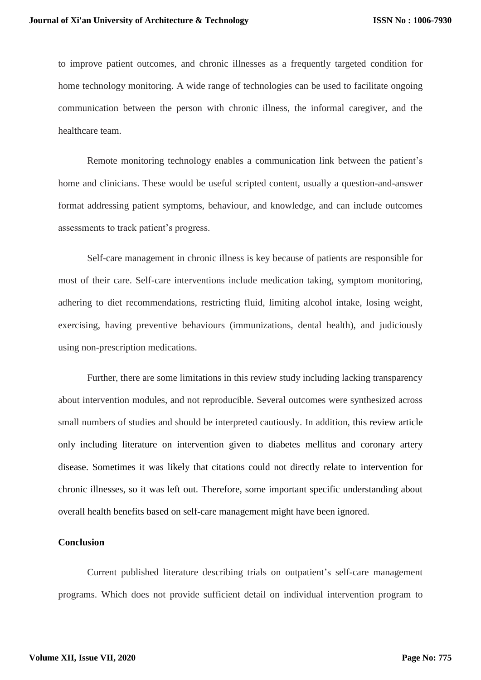to improve patient outcomes, and chronic illnesses as a frequently targeted condition for home technology monitoring. A wide range of technologies can be used to facilitate ongoing communication between the person with chronic illness, the informal caregiver, and the healthcare team.

Remote monitoring technology enables a communication link between the patient's home and clinicians. These would be useful scripted content, usually a question-and-answer format addressing patient symptoms, behaviour, and knowledge, and can include outcomes assessments to track patient's progress.

Self-care management in chronic illness is key because of patients are responsible for most of their care. Self-care interventions include medication taking, symptom monitoring, adhering to diet recommendations, restricting fluid, limiting alcohol intake, losing weight, exercising, having preventive behaviours (immunizations, dental health), and judiciously using non-prescription medications.

Further, there are some limitations in this review study including lacking transparency about intervention modules, and not reproducible. Several outcomes were synthesized across small numbers of studies and should be interpreted cautiously. In addition, this review article only including literature on intervention given to diabetes mellitus and coronary artery disease. Sometimes it was likely that citations could not directly relate to intervention for chronic illnesses, so it was left out. Therefore, some important specific understanding about overall health benefits based on self-care management might have been ignored.

### **Conclusion**

Current published literature describing trials on outpatient's self-care management programs. Which does not provide sufficient detail on individual intervention program to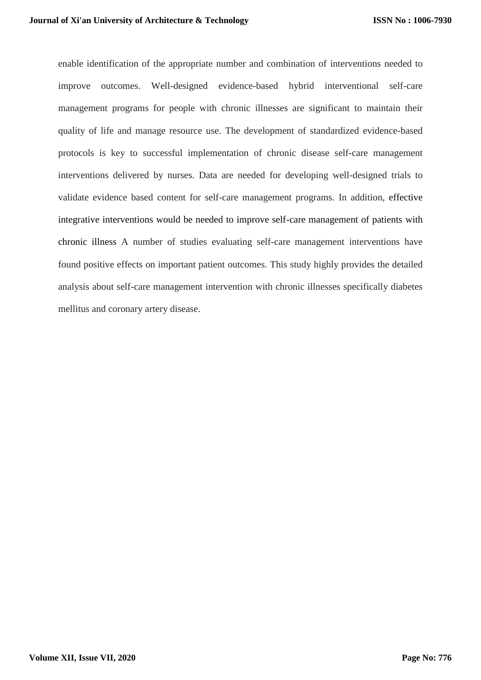enable identification of the appropriate number and combination of interventions needed to improve outcomes. Well-designed evidence-based hybrid interventional self-care management programs for people with chronic illnesses are significant to maintain their quality of life and manage resource use. The development of standardized evidence-based protocols is key to successful implementation of chronic disease self-care management interventions delivered by nurses. Data are needed for developing well-designed trials to validate evidence based content for self-care management programs. In addition, effective integrative interventions would be needed to improve self-care management of patients with chronic illness A number of studies evaluating self-care management interventions have found positive effects on important patient outcomes. This study highly provides the detailed analysis about self-care management intervention with chronic illnesses specifically diabetes mellitus and coronary artery disease.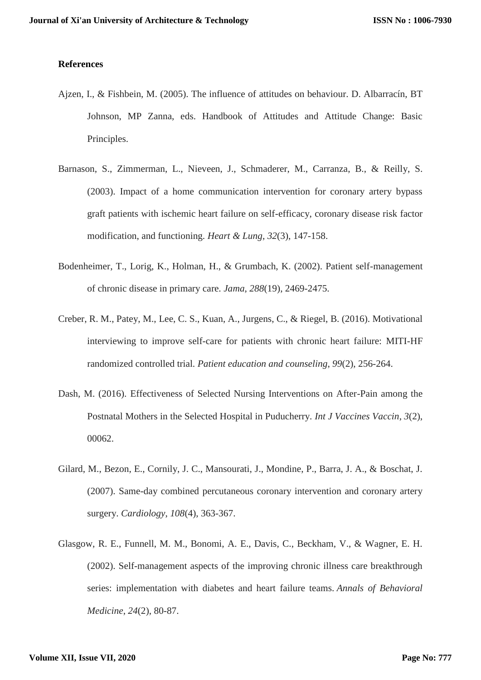## **References**

- Ajzen, I., & Fishbein, M. (2005). The influence of attitudes on behaviour. D. Albarracín, BT Johnson, MP Zanna, eds. Handbook of Attitudes and Attitude Change: Basic Principles.
- Barnason, S., Zimmerman, L., Nieveen, J., Schmaderer, M., Carranza, B., & Reilly, S. (2003). Impact of a home communication intervention for coronary artery bypass graft patients with ischemic heart failure on self-efficacy, coronary disease risk factor modification, and functioning. *Heart & Lung*, *32*(3), 147-158.
- Bodenheimer, T., Lorig, K., Holman, H., & Grumbach, K. (2002). Patient self-management of chronic disease in primary care. *Jama*, *288*(19), 2469-2475.
- Creber, R. M., Patey, M., Lee, C. S., Kuan, A., Jurgens, C., & Riegel, B. (2016). Motivational interviewing to improve self-care for patients with chronic heart failure: MITI-HF randomized controlled trial. *Patient education and counseling*, *99*(2), 256-264.
- Dash, M. (2016). Effectiveness of Selected Nursing Interventions on After-Pain among the Postnatal Mothers in the Selected Hospital in Puducherry. *Int J Vaccines Vaccin*, *3*(2), 00062.
- Gilard, M., Bezon, E., Cornily, J. C., Mansourati, J., Mondine, P., Barra, J. A., & Boschat, J. (2007). Same-day combined percutaneous coronary intervention and coronary artery surgery. *Cardiology*, *108*(4), 363-367.
- Glasgow, R. E., Funnell, M. M., Bonomi, A. E., Davis, C., Beckham, V., & Wagner, E. H. (2002). Self-management aspects of the improving chronic illness care breakthrough series: implementation with diabetes and heart failure teams. *Annals of Behavioral Medicine*, *24*(2), 80-87.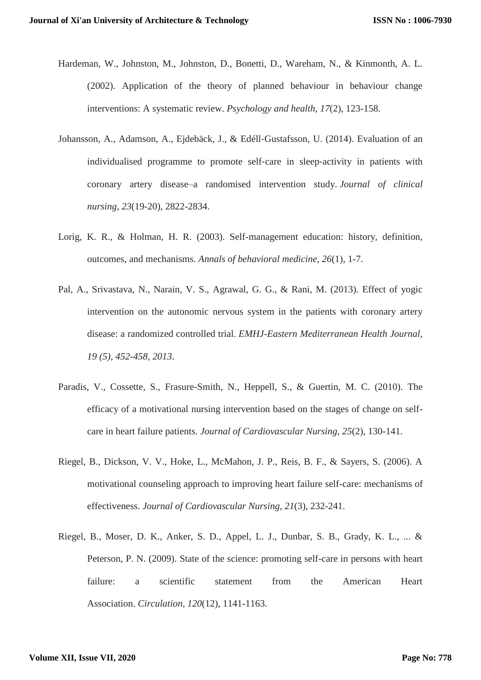- Hardeman, W., Johnston, M., Johnston, D., Bonetti, D., Wareham, N., & Kinmonth, A. L. (2002). Application of the theory of planned behaviour in behaviour change interventions: A systematic review. *Psychology and health*, *17*(2), 123-158.
- Johansson, A., Adamson, A., Ejdebäck, J., & Edéll‐Gustafsson, U. (2014). Evaluation of an individualised programme to promote self‐care in sleep‐activity in patients with coronary artery disease–a randomised intervention study. *Journal of clinical nursing*, *23*(19-20), 2822-2834.
- Lorig, K. R., & Holman, H. R. (2003). Self-management education: history, definition, outcomes, and mechanisms. *Annals of behavioral medicine*, *26*(1), 1-7.
- Pal, A., Srivastava, N., Narain, V. S., Agrawal, G. G., & Rani, M. (2013). Effect of yogic intervention on the autonomic nervous system in the patients with coronary artery disease: a randomized controlled trial. *EMHJ-Eastern Mediterranean Health Journal, 19 (5), 452-458, 2013*.
- Paradis, V., Cossette, S., Frasure-Smith, N., Heppell, S., & Guertin, M. C. (2010). The efficacy of a motivational nursing intervention based on the stages of change on selfcare in heart failure patients. *Journal of Cardiovascular Nursing*, *25*(2), 130-141.
- Riegel, B., Dickson, V. V., Hoke, L., McMahon, J. P., Reis, B. F., & Sayers, S. (2006). A motivational counseling approach to improving heart failure self-care: mechanisms of effectiveness. *Journal of Cardiovascular Nursing*, *21*(3), 232-241.
- Riegel, B., Moser, D. K., Anker, S. D., Appel, L. J., Dunbar, S. B., Grady, K. L., ... & Peterson, P. N. (2009). State of the science: promoting self-care in persons with heart failure: a scientific statement from the American Heart Association. *Circulation*, *120*(12), 1141-1163.